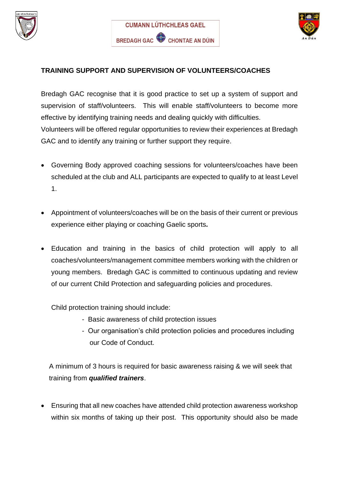





## **TRAINING SUPPORT AND SUPERVISION OF VOLUNTEERS/COACHES**

Bredagh GAC recognise that it is good practice to set up a system of support and supervision of staff/volunteers. This will enable staff/volunteers to become more effective by identifying training needs and dealing quickly with difficulties. Volunteers will be offered regular opportunities to review their experiences at Bredagh GAC and to identify any training or further support they require.

- Governing Body approved coaching sessions for volunteers/coaches have been scheduled at the club and ALL participants are expected to qualify to at least Level 1.
- Appointment of volunteers/coaches will be on the basis of their current or previous experience either playing or coaching Gaelic sports*.*
- Education and training in the basics of child protection will apply to all coaches/volunteers/management committee members working with the children or young members. Bredagh GAC is committed to continuous updating and review of our current Child Protection and safeguarding policies and procedures.

Child protection training should include:

- Basic awareness of child protection issues
- Our organisation's child protection policies and procedures including our Code of Conduct.

A minimum of 3 hours is required for basic awareness raising & we will seek that training from *qualified trainers*.

• Ensuring that all new coaches have attended child protection awareness workshop within six months of taking up their post. This opportunity should also be made